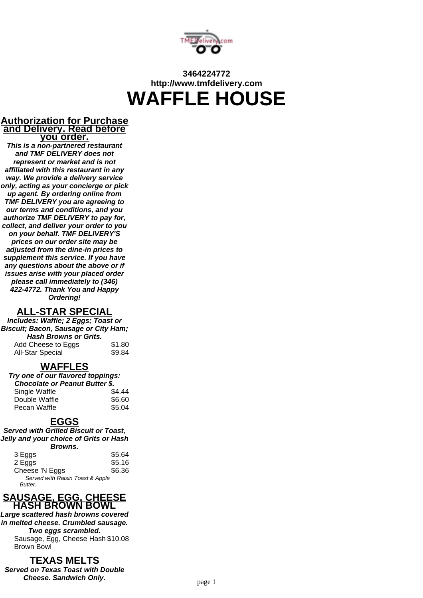

# **3464224772 http://www.tmfdelivery.com WAFFLE HOUSE**

#### **Authorization for Purchase and Delivery. Read before you order.**

**This is a non-partnered restaurant and TMF DELIVERY does not represent or market and is not affiliated with this restaurant in any way. We provide a delivery service only, acting as your concierge or pick up agent. By ordering online from TMF DELIVERY you are agreeing to our terms and conditions, and you authorize TMF DELIVERY to pay for, collect, and deliver your order to you on your behalf. TMF DELIVERY'S prices on our order site may be adjusted from the dine-in prices to supplement this service. If you have any questions about the above or if issues arise with your placed order please call immediately to (346) 422-4772. Thank You and Happy Ordering!**

#### **ALL-STAR SPECIAL**

**Includes: Waffle; 2 Eggs; Toast or Biscuit; Bacon, Sausage or City Ham; Hash Browns or Grits.** Add Cheese to Eggs \$1.80 All-Star Special \$9.84

#### **WAFFLES**

| Try one of our flavored toppings:     |        |  |
|---------------------------------------|--------|--|
| <b>Chocolate or Peanut Butter \$.</b> |        |  |
| Single Waffle                         | \$4.44 |  |
| Double Waffle                         | \$6.60 |  |
| Pecan Waffle                          | \$5.04 |  |

#### **EGGS**

**Served with Grilled Biscuit or Toast, Jelly and your choice of Grits or Hash Browns.**

| -------                          |        |
|----------------------------------|--------|
| 3 Eggs                           | \$5.64 |
| 2 Eggs                           | \$5.16 |
| Cheese 'N Eggs                   | \$6.36 |
| Served with Raisin Toast & Apple |        |
| Butter.                          |        |



**Large scattered hash browns covered in melted cheese. Crumbled sausage. Two eggs scrambled.** Sausage, Egg, Cheese Hash \$10.08 Brown Bowl

### **TEXAS MELTS**

**Served on Texas Toast with Double Cheese. Sandwich Only. Cheese. Sandwich Only. page 1**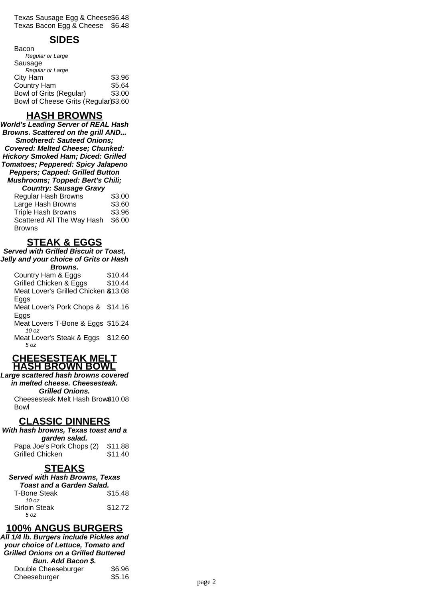Texas Sausage Egg & Cheese\$6.48 Texas Bacon Egg & Cheese \$6.48

# **SIDES**

| Bacon                                |        |
|--------------------------------------|--------|
| Regular or Large                     |        |
| Sausage                              |        |
| Regular or Large                     |        |
| City Ham                             | \$3.96 |
| <b>Country Ham</b>                   | \$5.64 |
| <b>Bowl of Grits (Regular)</b>       | \$3.00 |
| Bowl of Cheese Grits (Regular)\$3.60 |        |

# **HASH BROWNS**

**World's Leading Server of REAL Hash Browns. Scattered on the grill AND... Smothered: Sauteed Onions; Covered: Melted Cheese; Chunked: Hickory Smoked Ham; Diced: Grilled Tomatoes; Peppered: Spicy Jalapeno Peppers; Capped: Grilled Button Mushrooms; Topped: Bert's Chili; Country: Sausage Gravy** Regular Hash Browns \$3.00 Large Hash Browns \$3.60 Triple Hash Browns \$3.96 Scattered All The Way Hash  $$6.00$ 

| Scallered All The Way Hash 50.00 |  |
|----------------------------------|--|
| <b>Browns</b>                    |  |
|                                  |  |

## **STEAK & EGGS**

**Served with Grilled Biscuit or Toast, Jelly and your choice of Grits or Hash**

| Browns.                              |         |
|--------------------------------------|---------|
| Country Ham & Eggs                   | \$10.44 |
| Grilled Chicken & Eggs               | \$10.44 |
| Meat Lover's Grilled Chicken \$13.08 |         |
| Eggs                                 |         |
| Meat Lover's Pork Chops & \$14.16    |         |
| Eggs                                 |         |
| Meat Lovers T-Bone & Eggs \$15.24    |         |
| 10 oz                                |         |
| Meat Lover's Steak & Eggs            | \$12.60 |
| 5 07                                 |         |
|                                      |         |

#### **CHEESESTEAK MELT HASH BROWN BOWL**

**Large scattered hash browns covered in melted cheese. Cheesesteak. Grilled Onions.** Cheesesteak Melt Hash Brow \$10.08

### **CLASSIC DINNERS**

Bowl

**With hash browns, Texas toast and a garden salad.**

| Papa Joe's Pork Chops (2)<br>\$11.88 |         |
|--------------------------------------|---------|
| <b>Grilled Chicken</b>               | \$11.40 |

# **STEAKS**

| <b>Served with Hash Browns, Texas</b> |         |  |
|---------------------------------------|---------|--|
| <b>Toast and a Garden Salad.</b>      |         |  |
| <b>T-Bone Steak</b>                   | \$15.48 |  |
| 10 $oz$                               |         |  |
| <b>Sirloin Steak</b>                  | \$12.72 |  |
| 5 07                                  |         |  |

# **100% ANGUS BURGERS**

**All 1/4 lb. Burgers include Pickles and your choice of Lettuce, Tomato and Grilled Onions on a Grilled Buttered Bun. Add Bacon \$.** Double Cheeseburger \$6.96 Cheeseburger \$5.16 page 2